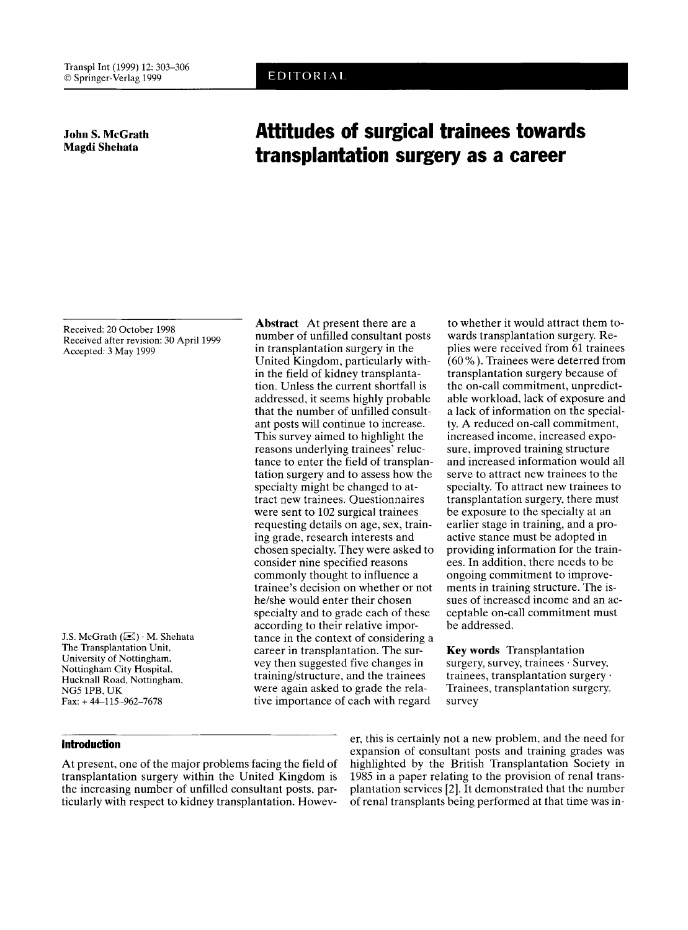# **John S. McGrath Magdi Shehata**

# **Attitudes of surgical trainees towards transplantation surgery as a career**

Received: 20 October 1998 Received after revision: 30 **April**  1999 Accepted: *3* May 1999

**J.S.** McGrath (B) . M. Shehata The Transplantation Unit, University of Nottingham, Nottingham City Hospital, Hucknall Road, Nottingham, NG5 lPB, UK **Fax:** + 44-1 15-962-7678

## **Introduction**

At present, one of the major problems facing the field of transplantation surgery within the United Kingdom is the increasing number of unfilled consultant posts, particularly with respect to kidney transplantation. Howev-

**Abstract** At present there are a number of unfilled consultant posts in transplantation surgery in the United Kingdom, particularly within the field of kidney transplantation. Unless the current shortfall is addressed, it seems highly probable that the number of unfilled consultant posts will continue to increase. This survey aimed to highlight the reasons underlying trainees' reluctance to enter the field of transplantation surgery and to assess how the specialty might be changed to attract new trainees. Questionnaires were sent to 102 surgical trainees requesting details on age, sex, training grade, research interests and chosen specialty. They were asked to consider nine specified reasons commonly thought to influence a trainee's decision on whether or not he/she would enter their chosen specialty and to grade each of these according to their relative importance in the context of considering a career in transplantation. The survey then suggested five changes in training/structure, and the trainees were again asked to grade the relative importance of each with regard

to whether it would attract them towards transplantation surgery. Replies were received from 61 trainees (60 %). Trainees were deterred from transplantation surgery because of the on-call commitment, unpredictable workload, lack of exposure and a lack of information on the specialty. A reduced on-call commitment, increased income, increased exposure, improved training structure and increased information would all serve to attract new trainees to the specialty. To attract new trainees to transplantation surgery, there must be exposure to the specialty at an earlier stage in training, and a proactive stance must be adopted in providing information for the trainees. In addition, there needs to be ongoing commitment to improvements in training structure. The issues of increased income and an acceptable on-call commitment must be addressed.

**Key words** Transplantation surgery, survey, trainees  $\cdot$  Survey, trainees, transplantation surgery . Trainees, transplantation surgery, survey

er, this is certainly not a new problem, and the need for expansion of consultant posts and training grades was highlighted by the British Transplantation Society in 1985 in a paper relating to the provision of renal transplantation services [2]. It demonstrated that the number of renal transplants being performed at that time was in-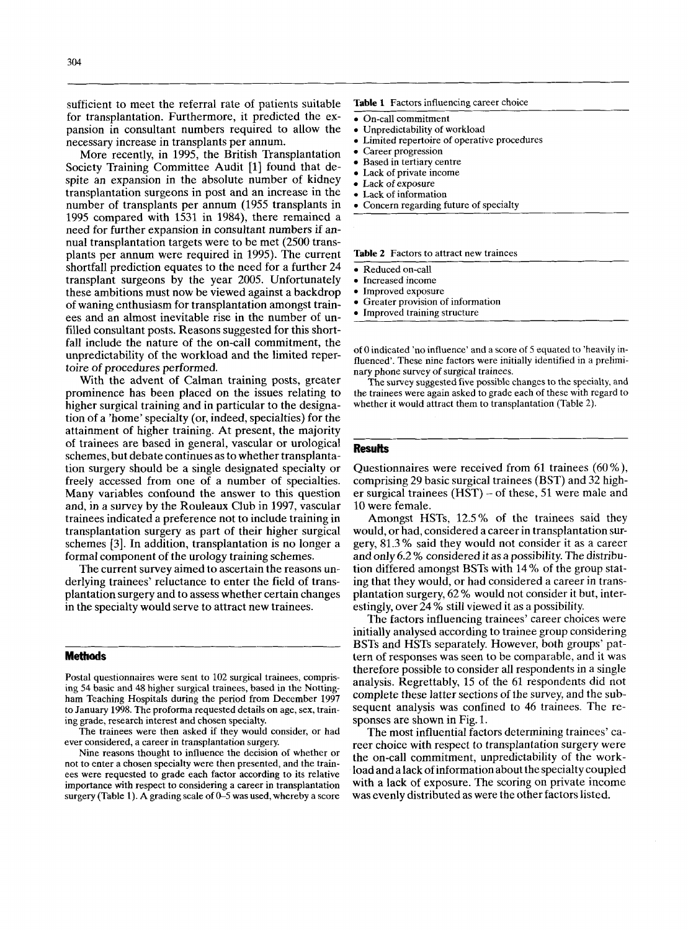sufficient to meet the referral rate of patients suitable for transplantation. Furthermore, it predicted the expansion in consultant numbers required to allow the necessary increase in transplants per annum.

More recently, in 1995, the British Transplantation Society Training Committee Audit [1] found that despite an expansion in the absolute number of kidney transplantation surgeons in post and an increase in the number of transplants per annum (1955 transplants in 1995 compared with 1531 in 1984), there remained a need for further expansion in consultant numbers if annual transplantation targets were to be met (2500 transplants per annum were required in 1995). The current shortfall prediction equates to the need for a further 24 transplant surgeons by the year 2005. Unfortunately these ambitions must now be viewed against a backdrop of waning enthusiasm €or transplantation amongst trainees and an almost inevitable rise in the number of unfilled consultant posts. Reasons suggested for this shortfall include the nature of the on-call commitment, the unpredictability of the workload and the limited repertoire of procedures performed.

With the advent of Calman training posts, greater prominence has been placed on the issues relating to higher surgical training and in particular to the designation **of** a 'home' specialty (or, indeed, specialties) for the attainment of higher training. At present, the majority of trainees are based in general, vascular or urological schemes, but debate continues as to whether transplantation surgery should be a single designated specialty or freely accessed from one of a number of specialties. Many variables confound the answer to this question and, in a survey by the Rouleaux Club in 1997, vascular trainees indicated a preference not **to** include training in transplantation surgery as part of their higher surgical schemes **[3].** In addition, transplantation is no longer a formal component of the urology training schemes.

The current survey aimed to ascertain the reasons underlying trainees' reluctance to enter the field of transplantation surgery and to assess whether certain changes in the specialty would serve to attract new trainees.

## **Methods**

Postal questionnaires were sent to 102 surgical trainees, comprising 54 basic and **48** higher surgical trainees, based in the Nottingham Teaching Hospitals during the period from December 1997 to January 1998. The proforma requested details on age, sex, training grade, research interest and chosen specialty.

The trainees were then asked if they would consider, or had ever considered, a career in transplantation surgery.

Nine reasons thought to influence the decision of whether or not to enter a chosen specialty were then presented, and the trainees were requested to grade each factor according to its relative importance with respect to considering a career in transplantation surgery (Table 1). A grading scale of 0-5 was used, whereby a score **Table 1** Factors influencing career choice

- On-call commitment  $\bullet$
- $\bullet$ Unpredictability of workload
- Limited repertoire of operative procedures
- Career progression
- Based in tertiary centre
- Lack of private income
- Lack of exposure
- Lack of information
- Concern regarding future of specialty

**Table 2** Factors to attract new trainees

- Reduced on-call
- Increased income
- Improved exposure
- Greater provision of information
- Improved training structure

of 0 indicated 'no influence' and a score of 5 equated to 'heavily influenced'. These nine factors were initially identified in a preliminary phone survey of surgical trainees.

The survey suggested five possible changes to the specialty, and the trainees were again asked to grade each of these with regard to whether it would attract them to transplantation (Table 2).

#### **Results**

Questionnaires were received from 61 trainees (60 % ), comprising 29 basic surgical trainees (BST) and 32 higher surgical trainees (HST) - of these, 51 were male and 10 were female.

Amongst HSTs, 12.5% of the trainees said they would, or had, considered a career in transplantation surgery, 81.3 % said they would not consider it as a career and only 6.2 % considered it as a possibility. The distribution differed amongst BSTs with 14% of the group stating that they would, or had considered a career in transplantation surgery, 62 % would not consider it but, interestingly, over 24 % still viewed it as a possibility.

The factors influencing trainees' career choices were initially analysed according to trainee group considering BSTs and HSTs separately. However, both groups' pattern of responses was seen to be comparable, and it was therefore possible to consider all respondents in a single analysis. Regrettably, 15 of the 61 respondents did not complete these latter sections of the survey, and the subsequent analysis was confined to 46 trainees. The responses are shown in Fig. 1.

The most influential factors determining trainees' career choice with respect to transplantation surgery were the on-call commitment, unpredictability of the workload and alack of information about the specialty coupled with a lack of exposure. The scoring on private income was evenly distributed as were the other factors listed.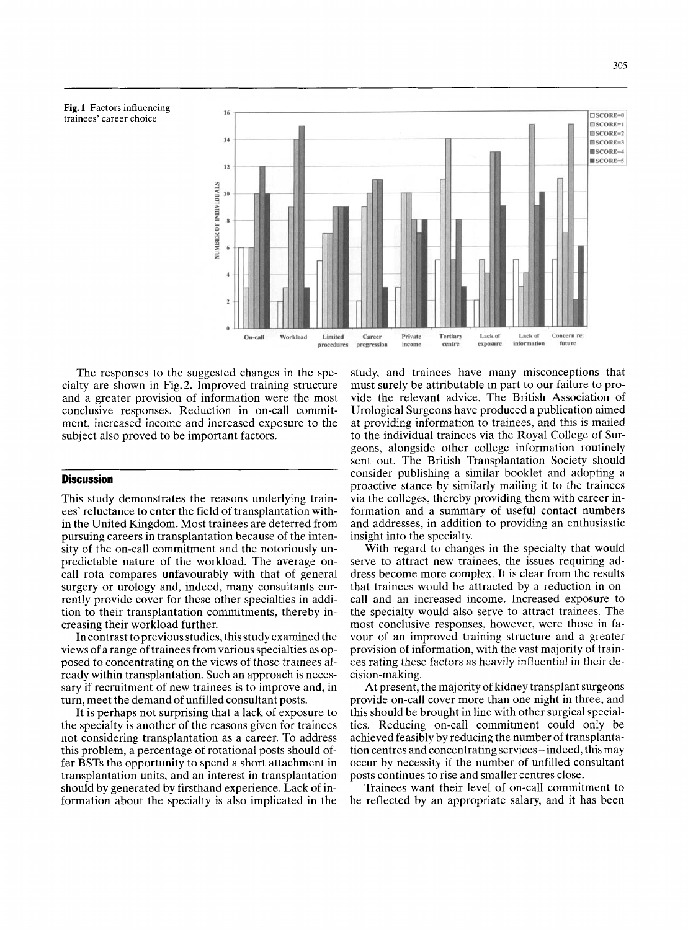#### Fig.1 Factors influencing trainees' career choice



The responses to the suggested changes in the specialty are shown in Fig.2. Improved training structure and a greater provision of information were the most conclusive responses. Reduction in on-call commitment, increased income and increased exposure to the subject also proved to be important factors.

### **Discussion**

This study demonstrates the reasons underlying trainees' reluctance to enter the field of transplantation within the United Kingdom. Most trainees are deterred from pursuing careers in transplantation because of the intensity of the on-call commitment and the notoriously unpredictable nature of the workload. The average oncall rota compares unfavourably with that of general surgery or urology and, indeed, many consultants currently provide cover for these other specialties in addition to their transplantation commitments, thereby increasing their workload further.

In contrast to previous studies, this study examined the views of a range of trainees from various specialties as opposed to concentrating on the views of those trainees already within transplantation. Such an approach is necessary if recruitment of new trainees is to improve and, in turn, meet the demand of unfilled consultant posts.

It is perhaps not surprising that a lack of exposure to the specialty is another of the reasons given for trainees not considering transplantation as a career. To address this problem, a percentage of rotational posts should offer BSTs the opportunity to spend a short attachment in transplantation units, and an interest in transplantation should by generated by firsthand experience. Lack of information about the specialty is also implicated in the study, and trainees have many misconceptions that must surely be attributable in part to our failure to provide the relevant advice. The British Association of Urological Surgeons have produced a publication aimed at providing information to trainees, and this is mailed to the individual trainees via the Royal College of Surgeons, alongside other college information routinely sent out. The British Transplantation Society should consider publishing a similar booklet and adopting a proactive stance by similarly mailing it to the trainees via the colleges, thereby providing them with career information and a summary of useful contact numbers and addresses, in addition to providing an enthusiastic insight into the specialty.

With regard to changes in the specialty that would serve to attract new trainees, the issues requiring address become more complex. It is clear from the results that trainees would be attracted by a reduction in oncall and an increased income. Increased exposure to the specialty would also serve to attract trainees. The most conclusive responses, however, were those in favour of an improved training structure and a greater provision of information, with the vast majority of trainees rating these factors as heavily influential in their decision-making.

At present, the majority of kidney transplant surgeons provide on-call cover more than one night in three, and this should be brought in line with other surgical specialties. Reducing on-call commitment could only be achieved feasibly by reducing the number of transplantation centres and concentrating services – indeed, this may occur by necessity if the number of unfilled consultant posts continues to rise and smaller centres close.

Trainees want their level of on-call commitment to be reflected by an appropriate salary, and it has been